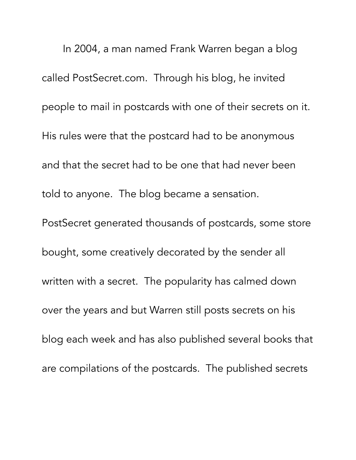In 2004, a man named Frank Warren began a blog called PostSecret.com. Through his blog, he invited people to mail in postcards with one of their secrets on it. His rules were that the postcard had to be anonymous and that the secret had to be one that had never been told to anyone. The blog became a sensation. PostSecret generated thousands of postcards, some store bought, some creatively decorated by the sender all written with a secret. The popularity has calmed down over the years and but Warren still posts secrets on his blog each week and has also published several books that are compilations of the postcards. The published secrets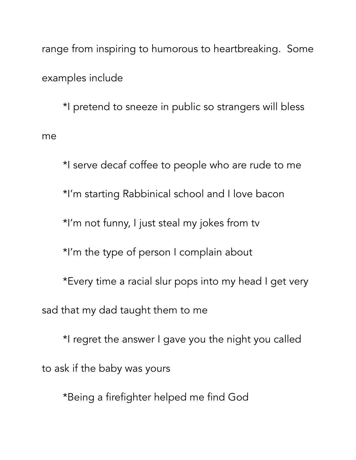range from inspiring to humorous to heartbreaking. Some examples include

 \*I pretend to sneeze in public so strangers will bless me

 \*I serve decaf coffee to people who are rude to me \*I'm starting Rabbinical school and I love bacon \*I'm not funny, I just steal my jokes from tv \*I'm the type of person I complain about \*Every time a racial slur pops into my head I get very sad that my dad taught them to me \*I regret the answer I gave you the night you called

to ask if the baby was yours

\*Being a firefighter helped me find God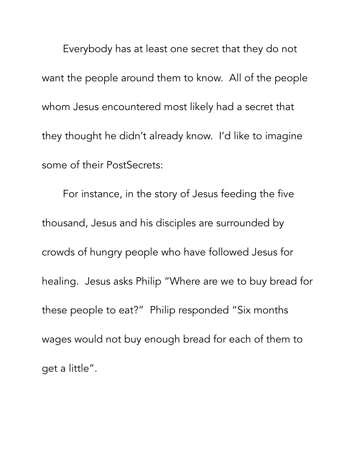Everybody has at least one secret that they do not want the people around them to know. All of the people whom Jesus encountered most likely had a secret that they thought he didn't already know. I'd like to imagine some of their PostSecrets:

 For instance, in the story of Jesus feeding the five thousand, Jesus and his disciples are surrounded by crowds of hungry people who have followed Jesus for healing. Jesus asks Philip "Where are we to buy bread for these people to eat?" Philip responded "Six months wages would not buy enough bread for each of them to get a little".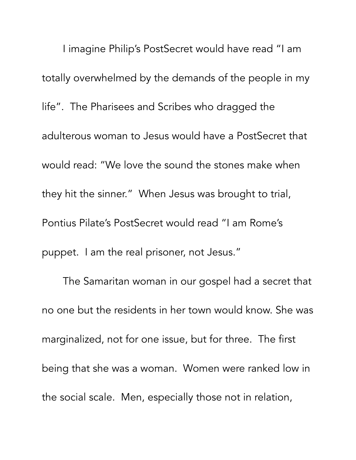I imagine Philip's PostSecret would have read "I am totally overwhelmed by the demands of the people in my life". The Pharisees and Scribes who dragged the adulterous woman to Jesus would have a PostSecret that would read: "We love the sound the stones make when they hit the sinner." When Jesus was brought to trial, Pontius Pilate's PostSecret would read "I am Rome's puppet. I am the real prisoner, not Jesus."

 The Samaritan woman in our gospel had a secret that no one but the residents in her town would know. She was marginalized, not for one issue, but for three. The first being that she was a woman. Women were ranked low in the social scale. Men, especially those not in relation,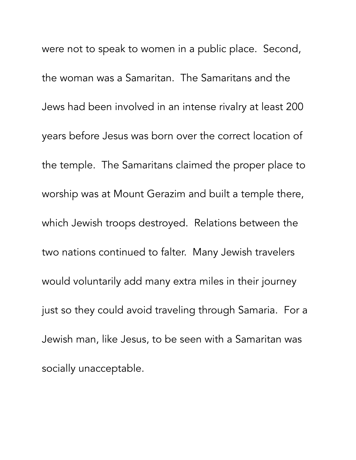were not to speak to women in a public place. Second, the woman was a Samaritan. The Samaritans and the Jews had been involved in an intense rivalry at least 200 years before Jesus was born over the correct location of the temple. The Samaritans claimed the proper place to worship was at Mount Gerazim and built a temple there, which Jewish troops destroyed. Relations between the two nations continued to falter. Many Jewish travelers would voluntarily add many extra miles in their journey just so they could avoid traveling through Samaria. For a Jewish man, like Jesus, to be seen with a Samaritan was socially unacceptable.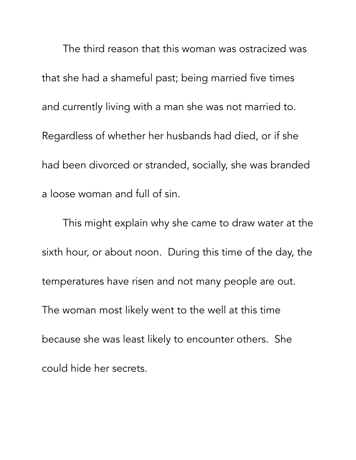The third reason that this woman was ostracized was that she had a shameful past; being married five times and currently living with a man she was not married to. Regardless of whether her husbands had died, or if she had been divorced or stranded, socially, she was branded a loose woman and full of sin.

 This might explain why she came to draw water at the sixth hour, or about noon. During this time of the day, the temperatures have risen and not many people are out. The woman most likely went to the well at this time because she was least likely to encounter others. She could hide her secrets.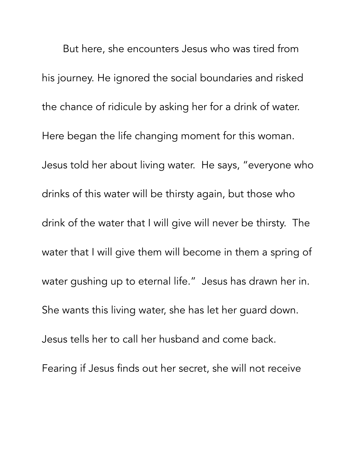But here, she encounters Jesus who was tired from his journey. He ignored the social boundaries and risked the chance of ridicule by asking her for a drink of water. Here began the life changing moment for this woman. Jesus told her about living water. He says, "everyone who drinks of this water will be thirsty again, but those who drink of the water that I will give will never be thirsty. The water that I will give them will become in them a spring of water gushing up to eternal life." Jesus has drawn her in. She wants this living water, she has let her guard down. Jesus tells her to call her husband and come back. Fearing if Jesus finds out her secret, she will not receive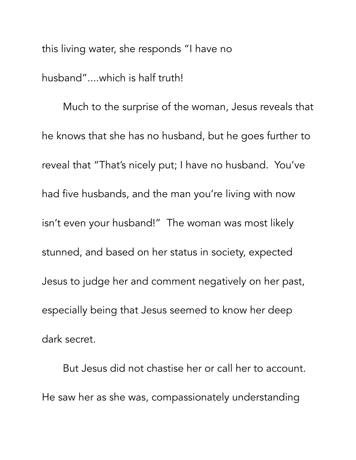this living water, she responds "I have no husband"....which is half truth!

 Much to the surprise of the woman, Jesus reveals that he knows that she has no husband, but he goes further to reveal that "That's nicely put; I have no husband. You've had five husbands, and the man you're living with now isn't even your husband!" The woman was most likely stunned, and based on her status in society, expected Jesus to judge her and comment negatively on her past, especially being that Jesus seemed to know her deep dark secret.

 But Jesus did not chastise her or call her to account. He saw her as she was, compassionately understanding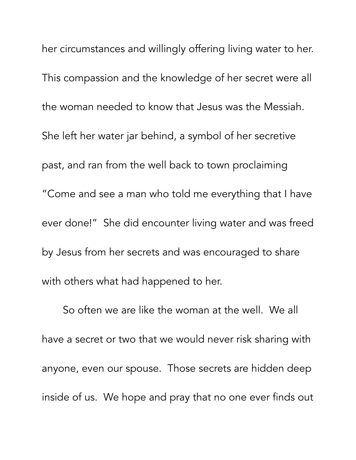her circumstances and willingly offering living water to her. This compassion and the knowledge of her secret were all the woman needed to know that Jesus was the Messiah. She left her water jar behind, a symbol of her secretive past, and ran from the well back to town proclaiming "Come and see a man who told me everything that I have ever done!" She did encounter living water and was freed by Jesus from her secrets and was encouraged to share with others what had happened to her.

 So often we are like the woman at the well. We all have a secret or two that we would never risk sharing with anyone, even our spouse. Those secrets are hidden deep inside of us. We hope and pray that no one ever finds out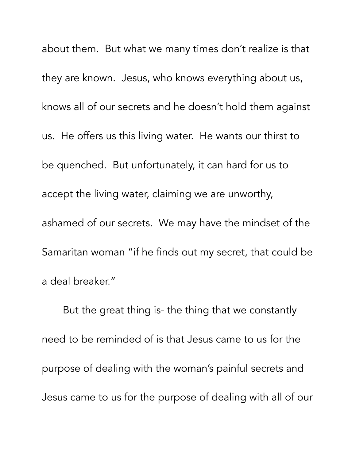about them. But what we many times don't realize is that they are known. Jesus, who knows everything about us, knows all of our secrets and he doesn't hold them against us. He offers us this living water. He wants our thirst to be quenched. But unfortunately, it can hard for us to accept the living water, claiming we are unworthy, ashamed of our secrets. We may have the mindset of the Samaritan woman "if he finds out my secret, that could be a deal breaker."

 But the great thing is- the thing that we constantly need to be reminded of is that Jesus came to us for the purpose of dealing with the woman's painful secrets and Jesus came to us for the purpose of dealing with all of our